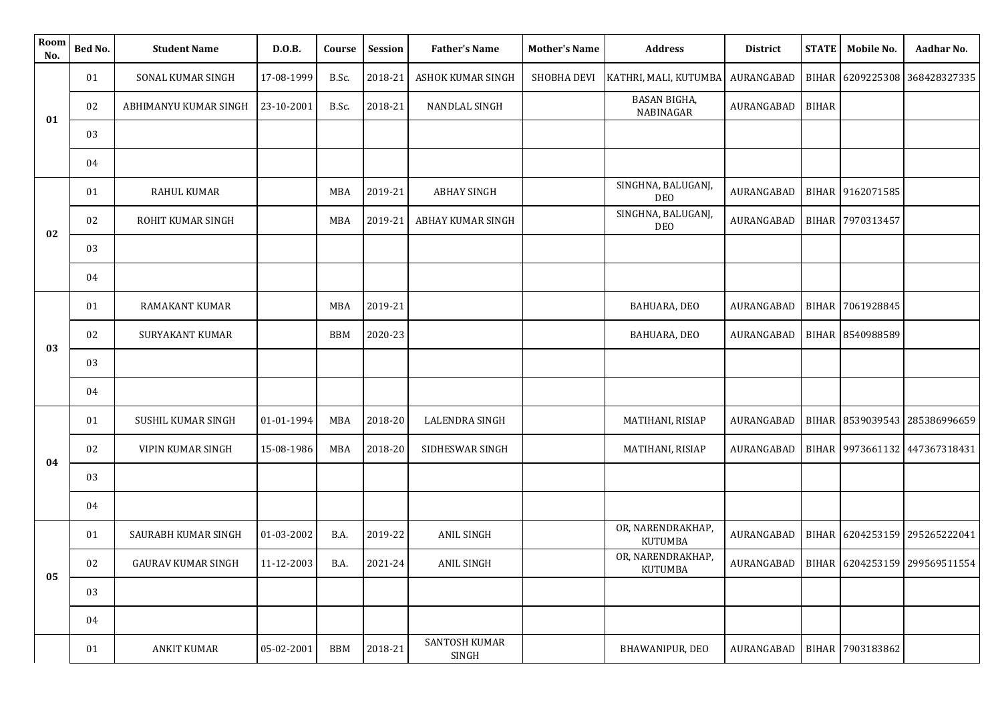| Room<br>No. | Bed No. | <b>Student Name</b>       | D.O.B.     | Course     | Session | <b>Father's Name</b>     | <b>Mother's Name</b> | <b>Address</b>                      | <b>District</b> | <b>STATE</b> | Mobile No.       | Aadhar No.                    |
|-------------|---------|---------------------------|------------|------------|---------|--------------------------|----------------------|-------------------------------------|-----------------|--------------|------------------|-------------------------------|
| 01          | 01      | SONAL KUMAR SINGH         | 17-08-1999 | B.Sc.      | 2018-21 | <b>ASHOK KUMAR SINGH</b> | SHOBHA DEVI          | KATHRI, MALI, KUTUMBA               | AURANGABAD      |              |                  | BIHAR 6209225308 368428327335 |
|             | 02      | ABHIMANYU KUMAR SINGH     | 23-10-2001 | B.Sc.      | 2018-21 | NANDLAL SINGH            |                      | <b>BASAN BIGHA,</b><br>NABINAGAR    | AURANGABAD      | <b>BIHAR</b> |                  |                               |
|             | 03      |                           |            |            |         |                          |                      |                                     |                 |              |                  |                               |
|             | 04      |                           |            |            |         |                          |                      |                                     |                 |              |                  |                               |
|             | 01      | <b>RAHUL KUMAR</b>        |            | <b>MBA</b> | 2019-21 | <b>ABHAY SINGH</b>       |                      | SINGHNA, BALUGANJ,<br><b>DEO</b>    | AURANGABAD      |              | BIHAR 9162071585 |                               |
| 02          | 02      | ROHIT KUMAR SINGH         |            | <b>MBA</b> | 2019-21 | ABHAY KUMAR SINGH        |                      | SINGHNA, BALUGANJ,<br><b>DEO</b>    | AURANGABAD      |              | BIHAR 7970313457 |                               |
|             | 03      |                           |            |            |         |                          |                      |                                     |                 |              |                  |                               |
|             | 04      |                           |            |            |         |                          |                      |                                     |                 |              |                  |                               |
|             | 01      | <b>RAMAKANT KUMAR</b>     |            | <b>MBA</b> | 2019-21 |                          |                      | BAHUARA, DEO                        | AURANGABAD      |              | BIHAR 7061928845 |                               |
|             | 02      | <b>SURYAKANT KUMAR</b>    |            | <b>BBM</b> | 2020-23 |                          |                      | BAHUARA, DEO                        | AURANGABAD      |              | BIHAR 8540988589 |                               |
| 03          | 03      |                           |            |            |         |                          |                      |                                     |                 |              |                  |                               |
|             | 04      |                           |            |            |         |                          |                      |                                     |                 |              |                  |                               |
|             | 01      | SUSHIL KUMAR SINGH        | 01-01-1994 | MBA        | 2018-20 | LALENDRA SINGH           |                      | MATIHANI, RISIAP                    | AURANGABAD      |              |                  | BIHAR 8539039543 285386996659 |
| 04          | 02      | VIPIN KUMAR SINGH         | 15-08-1986 | <b>MBA</b> | 2018-20 | SIDHESWAR SINGH          |                      | MATIHANI, RISIAP                    | AURANGABAD      |              |                  | BIHAR 9973661132 447367318431 |
|             | 03      |                           |            |            |         |                          |                      |                                     |                 |              |                  |                               |
|             | 04      |                           |            |            |         |                          |                      |                                     |                 |              |                  |                               |
|             | 01      | SAURABH KUMAR SINGH       | 01-03-2002 | B.A.       | 2019-22 | <b>ANIL SINGH</b>        |                      | OR, NARENDRAKHAP,<br><b>KUTUMBA</b> | AURANGABAD      |              |                  | BIHAR 6204253159 295265222041 |
|             | 02      | <b>GAURAV KUMAR SINGH</b> | 11-12-2003 | B.A.       | 2021-24 | ANIL SINGH               |                      | OR, NARENDRAKHAP,<br><b>KUTUMBA</b> | AURANGABAD      |              |                  | BIHAR 6204253159 299569511554 |
| 05          | 03      |                           |            |            |         |                          |                      |                                     |                 |              |                  |                               |
|             | 04      |                           |            |            |         |                          |                      |                                     |                 |              |                  |                               |
|             | 01      | <b>ANKIT KUMAR</b>        | 05-02-2001 | <b>BBM</b> | 2018-21 | SANTOSH KUMAR<br>SINGH   |                      | BHAWANIPUR, DEO                     | AURANGABAD      |              | BIHAR 7903183862 |                               |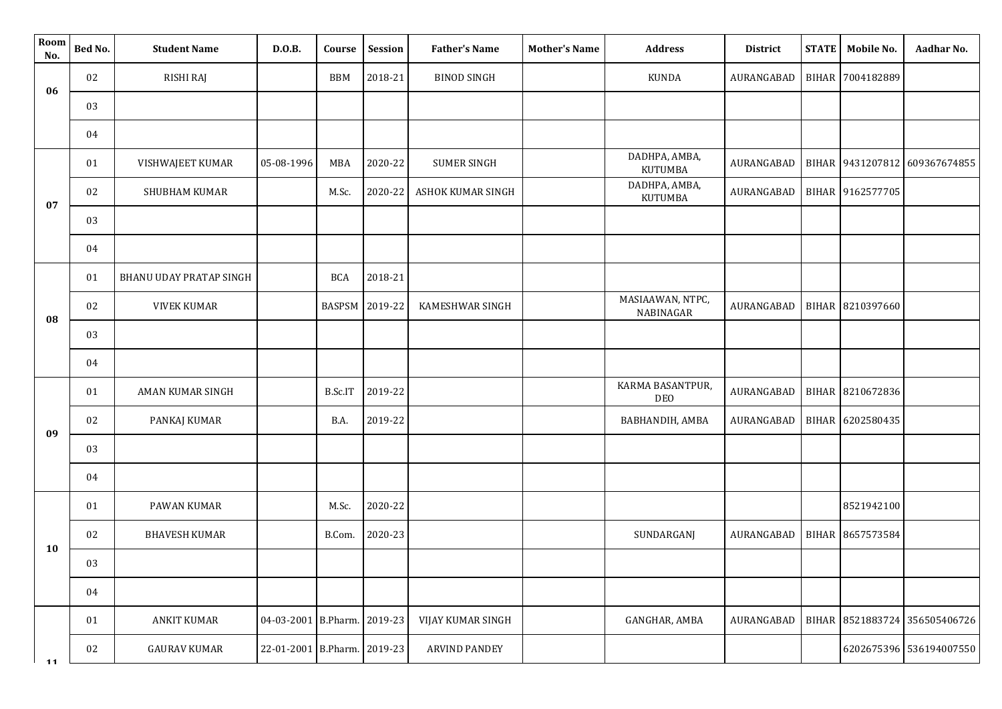| Room<br>No. | Bed No. | <b>Student Name</b>            | D.O.B.                      | Course         | Session | <b>Father's Name</b> | <b>Mother's Name</b> | <b>Address</b>                  | District   | <b>STATE</b> | Mobile No.       | Aadhar No.                    |
|-------------|---------|--------------------------------|-----------------------------|----------------|---------|----------------------|----------------------|---------------------------------|------------|--------------|------------------|-------------------------------|
| 06          | 02      | RISHI RAJ                      |                             | <b>BBM</b>     | 2018-21 | <b>BINOD SINGH</b>   |                      | <b>KUNDA</b>                    | AURANGABAD | <b>BIHAR</b> | 7004182889       |                               |
|             | 03      |                                |                             |                |         |                      |                      |                                 |            |              |                  |                               |
|             | 04      |                                |                             |                |         |                      |                      |                                 |            |              |                  |                               |
| 07          | 01      | VISHWAJEET KUMAR               | 05-08-1996                  | <b>MBA</b>     | 2020-22 | <b>SUMER SINGH</b>   |                      | DADHPA, AMBA,<br><b>KUTUMBA</b> | AURANGABAD | <b>BIHAR</b> | 9431207812       | 609367674855                  |
|             | 02      | SHUBHAM KUMAR                  |                             | M.Sc.          | 2020-22 | ASHOK KUMAR SINGH    |                      | DADHPA, AMBA,<br><b>KUTUMBA</b> | AURANGABAD |              | BIHAR 9162577705 |                               |
|             | 03      |                                |                             |                |         |                      |                      |                                 |            |              |                  |                               |
|             | 04      |                                |                             |                |         |                      |                      |                                 |            |              |                  |                               |
|             | 01      | <b>BHANU UDAY PRATAP SINGH</b> |                             | <b>BCA</b>     | 2018-21 |                      |                      |                                 |            |              |                  |                               |
| 08          | 02      | <b>VIVEK KUMAR</b>             |                             | BASPSM 2019-22 |         | KAMESHWAR SINGH      |                      | MASIAAWAN, NTPC,<br>NABINAGAR   | AURANGABAD |              | BIHAR 8210397660 |                               |
|             | 03      |                                |                             |                |         |                      |                      |                                 |            |              |                  |                               |
|             | 04      |                                |                             |                |         |                      |                      |                                 |            |              |                  |                               |
|             | 01      | AMAN KUMAR SINGH               |                             | B.Sc.IT        | 2019-22 |                      |                      | KARMA BASANTPUR,<br>DEO         | AURANGABAD | <b>BIHAR</b> | 8210672836       |                               |
| 09          | 02      | PANKAJ KUMAR                   |                             | B.A.           | 2019-22 |                      |                      | BABHANDIH, AMBA                 | AURANGABAD | <b>BIHAR</b> | 6202580435       |                               |
|             | 03      |                                |                             |                |         |                      |                      |                                 |            |              |                  |                               |
|             | 04      |                                |                             |                |         |                      |                      |                                 |            |              |                  |                               |
|             | 01      | PAWAN KUMAR                    |                             | M.Sc.          | 2020-22 |                      |                      |                                 |            |              | 8521942100       |                               |
|             | 02      | <b>BHAVESH KUMAR</b>           |                             | B.Com.         | 2020-23 |                      |                      | SUNDARGANJ                      | AURANGABAD | <b>BIHAR</b> | 8657573584       |                               |
| <b>10</b>   | 03      |                                |                             |                |         |                      |                      |                                 |            |              |                  |                               |
|             | 04      |                                |                             |                |         |                      |                      |                                 |            |              |                  |                               |
|             | 01      | <b>ANKIT KUMAR</b>             | 04-03-2001 B.Pharm. 2019-23 |                |         | VIJAY KUMAR SINGH    |                      | GANGHAR, AMBA                   | AURANGABAD |              |                  | BIHAR 8521883724 356505406726 |
| 11          | 02      | <b>GAURAV KUMAR</b>            | 22-01-2001 B.Pharm. 2019-23 |                |         | <b>ARVIND PANDEY</b> |                      |                                 |            |              |                  | 6202675396 536194007550       |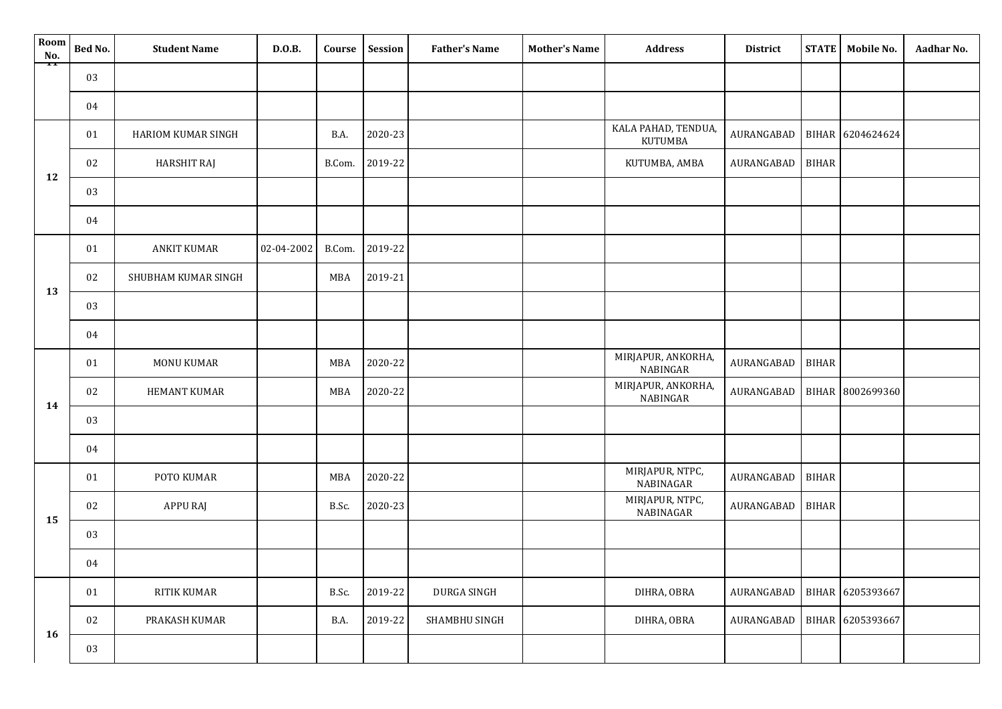| Room<br>No. | Bed No. | <b>Student Name</b> | D.0.B.     | Course     | Session | <b>Father's Name</b> | <b>Mother's Name</b> | <b>Address</b>                 | <b>District</b> | <b>STATE</b> | Mobile No.       | Aadhar No. |
|-------------|---------|---------------------|------------|------------|---------|----------------------|----------------------|--------------------------------|-----------------|--------------|------------------|------------|
| ā           | 03      |                     |            |            |         |                      |                      |                                |                 |              |                  |            |
|             | 04      |                     |            |            |         |                      |                      |                                |                 |              |                  |            |
|             | 01      | HARIOM KUMAR SINGH  |            | B.A.       | 2020-23 |                      |                      | KALA PAHAD, TENDUA,<br>KUTUMBA | AURANGABAD      |              | BIHAR 6204624624 |            |
|             | 02      | <b>HARSHIT RAJ</b>  |            | B.Com.     | 2019-22 |                      |                      | KUTUMBA, AMBA                  | AURANGABAD      | <b>BIHAR</b> |                  |            |
| 12          | 03      |                     |            |            |         |                      |                      |                                |                 |              |                  |            |
|             | 04      |                     |            |            |         |                      |                      |                                |                 |              |                  |            |
| 13          | 01      | <b>ANKIT KUMAR</b>  | 02-04-2002 | B.Com.     | 2019-22 |                      |                      |                                |                 |              |                  |            |
|             | 02      | SHUBHAM KUMAR SINGH |            | MBA        | 2019-21 |                      |                      |                                |                 |              |                  |            |
|             | 03      |                     |            |            |         |                      |                      |                                |                 |              |                  |            |
|             | 04      |                     |            |            |         |                      |                      |                                |                 |              |                  |            |
|             | 01      | <b>MONU KUMAR</b>   |            | MBA        | 2020-22 |                      |                      | MIRJAPUR, ANKORHA,<br>NABINGAR | AURANGABAD      | <b>BIHAR</b> |                  |            |
| 14          | 02      | <b>HEMANT KUMAR</b> |            | MBA        | 2020-22 |                      |                      | MIRJAPUR, ANKORHA,<br>NABINGAR | AURANGABAD      |              | BIHAR 8002699360 |            |
|             | 03      |                     |            |            |         |                      |                      |                                |                 |              |                  |            |
|             | 04      |                     |            |            |         |                      |                      |                                |                 |              |                  |            |
|             | 01      | POTO KUMAR          |            | <b>MBA</b> | 2020-22 |                      |                      | MIRJAPUR, NTPC,<br>NABINAGAR   | AURANGABAD      | <b>BIHAR</b> |                  |            |
|             | 02      | APPU RAJ            |            | B.Sc.      | 2020-23 |                      |                      | MIRJAPUR, NTPC,<br>NABINAGAR   | AURANGABAD      | <b>BIHAR</b> |                  |            |
| 15          | 03      |                     |            |            |         |                      |                      |                                |                 |              |                  |            |
|             | 04      |                     |            |            |         |                      |                      |                                |                 |              |                  |            |
|             | 01      | RITIK KUMAR         |            | B.Sc.      | 2019-22 | DURGA SINGH          |                      | DIHRA, OBRA                    | AURANGABAD      |              | BIHAR 6205393667 |            |
|             | 02      | PRAKASH KUMAR       |            | B.A.       | 2019-22 | SHAMBHU SINGH        |                      | DIHRA, OBRA                    | AURANGABAD      |              | BIHAR 6205393667 |            |
| 16          | 03      |                     |            |            |         |                      |                      |                                |                 |              |                  |            |